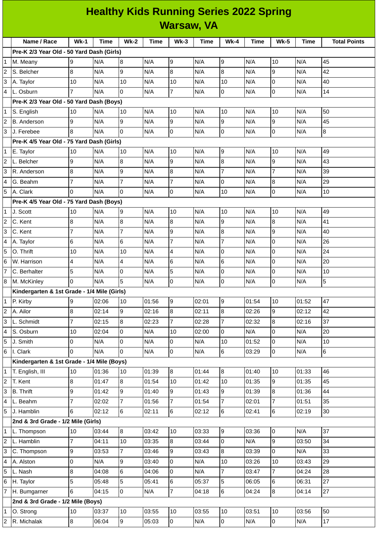## **Healthy Kids Running Series 2022 Spring Warsaw, VA**

|                                           | Name / Race                                 | $Wk-1$         | <b>Time</b> | <b>Wk-2</b>    | <b>Time</b> | $Wk-3$         | Time  | <b>Wk-4</b>         | <b>Time</b> | <b>Wk-5</b>    | <b>Time</b> | <b>Total Points</b> |
|-------------------------------------------|---------------------------------------------|----------------|-------------|----------------|-------------|----------------|-------|---------------------|-------------|----------------|-------------|---------------------|
| Pre-K 2/3 Year Old - 50 Yard Dash (Girls) |                                             |                |             |                |             |                |       |                     |             |                |             |                     |
| 1                                         | M. Meany                                    | 9              | N/A         | 8              | N/A         | 9              | N/A   | 9                   | N/A         | 10             | N/A         | 45                  |
| 2                                         | S. Belcher                                  | 8              | N/A         | 9              | N/A         | 8              | N/A   | 8                   | N/A         | 9              | N/A         | 42                  |
| 3                                         | A. Taylor                                   | 10             | N/A         | 10             | N/A         | 10             | N/A   | 10                  | N/A         | l0             | N/A         | 40                  |
| 4                                         | L. Osburn                                   | $\overline{7}$ | N/A         | 0              | N/A         | $\overline{7}$ | N/A   | 0                   | N/A         | l0             | N/A         | 14                  |
|                                           | Pre-K 2/3 Year Old - 50 Yard Dash (Boys)    |                |             |                |             |                |       |                     |             |                |             |                     |
| 1                                         | S. English                                  | 10             | N/A         | 10             | N/A         | 10             | N/A   | 10                  | N/A         | 10             | N/A         | 50                  |
| 2                                         | <b>B.</b> Anderson                          | 9              | N/A         | 9              | N/A         | 9              | N/A   | 9                   | N/A         | 9              | N/A         | 45                  |
| 3                                         | J. Ferebee                                  | 8              | N/A         | $\mathbf 0$    | N/A         | 0              | N/A   | 0                   | N/A         | l0             | N/A         | $\bf{8}$            |
|                                           | Pre-K 4/5 Year Old - 75 Yard Dash (Girls)   |                |             |                |             |                |       |                     |             |                |             |                     |
| 1                                         | E. Taylor                                   | 10             | N/A         | 10             | N/A         | 10             | N/A   | 9                   | N/A         | 10             | N/A         | 49                  |
| 2                                         | L. Belcher                                  | 9              | N/A         | 8              | N/A         | 9              | N/A   | $\, 8$              | N/A         | 9              | N/A         | 43                  |
| 3                                         | R. Anderson                                 | 8              | N/A         | 9              | N/A         | 8              | N/A   | $\overline{7}$      | N/A         | $\overline{7}$ | N/A         | 39                  |
| 4                                         | G. Beahm                                    | $\overline{7}$ | N/A         | $\overline{7}$ | N/A         | $\overline{7}$ | N/A   | 0                   | N/A         | 8              | N/A         | 29                  |
| 5                                         | A. Clark                                    | 0              | N/A         | $\Omega$       | N/A         | l0             | N/A   | 10                  | N/A         | lo             | N/A         | 10                  |
| Pre-K 4/5 Year Old - 75 Yard Dash (Boys)  |                                             |                |             |                |             |                |       |                     |             |                |             |                     |
| $\mathbf 1$                               | J. Scott                                    | 10             | N/A         | 9              | N/A         | 10             | N/A   | 10                  | N/A         | 10             | N/A         | 49                  |
| 2                                         | C. Kent                                     | 8              | N/A         | 8              | N/A         | 8              | N/A   | 9                   | N/A         | 8              | N/A         | 41                  |
| 3                                         | C. Kent                                     | $\overline{7}$ | N/A         | $\overline{7}$ | N/A         | 9              | N/A   | 8                   | N/A         | 9              | N/A         | 40                  |
| 4                                         | A. Taylor                                   | 6              | N/A         | 6              | N/A         | $\overline{7}$ | N/A   | 7                   | N/A         | Iо             | N/A         | 26                  |
| 5                                         | O. Thrift                                   | 10             | N/A         | 10             | N/A         | 4              | N/A   | 0                   | N/A         | O              | N/A         | 24                  |
| 6                                         | W. Harrison                                 | 4              | N/A         | 4              | N/A         | 6              | N/A   | 6                   | N/A         | l0             | N/A         | 20                  |
|                                           | C. Berhalter                                | 5              | N/A         | 0              | N/A         | 5              | N/A   | 0                   | N/A         | l0             | N/A         | 10                  |
| 8                                         | M. McKinley                                 | 0              | N/A         | 5              | N/A         | $\overline{0}$ | N/A   | 0                   | N/A         | l0             | N/A         | 5                   |
|                                           | Kindergarten & 1st Grade - 1/4 Mile (Girls) |                |             |                |             |                |       |                     |             |                |             |                     |
| 1                                         | P. Kirby                                    | 9              | 02:06       | 10             | 01:56       | 9              | 02:01 | 9                   | 01:54       | 10             | 01:52       | 47                  |
| $\overline{c}$                            | A. Ailor                                    | 8              | 02:14       | 9              | 02:16       | 8              | 02:11 | $\bf{8}$            | 02:26       | l9             | 02:12       | 42                  |
| 3                                         | L. Schmidt                                  | $\overline{7}$ | 02:15       | $\overline{8}$ | 02:23       | $\overline{7}$ | 02:28 | $\overline{7}$      | 02:32       | 8              | 02:16       | 37                  |
| 4                                         | S. Osburn                                   | 10             | 02:04       | 0              | N/A         | 10             | 02:00 | 0                   | N/A         | l0             | N/A         | 20                  |
| 5                                         | J. Smith                                    | $\overline{0}$ | N/A         | 0              | N/A         | $\overline{0}$ | N/A   | 10                  | 01:52       | l0             | N/A         | 10                  |
| 6                                         | I. Clark                                    | 0              | N/A         | 0              | N/A         | $\overline{0}$ | N/A   | 6                   | 03:29       | l0             | N/A         | $6\phantom{a}$      |
|                                           | Kindergarten & 1st Grade - 1/4 Mile (Boys)  |                |             |                |             |                |       |                     |             |                |             |                     |
| 1                                         | T. English, III                             | 10             | 01:36       | 10             | 01:39       | 8              | 01:44 | 8                   | 01:40       | 10             | 01:33       | 46                  |
| 2                                         | T. Kent                                     | 8              | 01:47       | 8              | 01:54       | 10             | 01:42 | 10                  | 01:35       | 9              | 01:35       | 45                  |
| 3                                         | <b>B.</b> Thrift                            | 9              | 01:42       | 9              | 01:40       | 9              | 01:43 | 9                   | 01:39       | 8              | 01:36       | 44                  |
| 4                                         | L. Beahm                                    | $\overline{7}$ | 02:02       | $\overline{7}$ | 01:56       | $\overline{7}$ | 01:54 | $\overline{7}$      | 02:01       | $\overline{7}$ | 01:51       | 35                  |
| 5                                         | J. Hamblin                                  | 6              | 02:12       | 6              | 02:11       | $6\phantom{.}$ | 02:12 | 6                   | 02:41       | 6              | 02:19       | 30                  |
|                                           | 2nd & 3rd Grade - 1/2 Mile (Girls)          |                |             |                |             |                |       |                     |             |                |             |                     |
| 1                                         | L. Thompson                                 | 10             | 03:44       | 8              | 03:42       | 10             | 03:33 | 9                   | 03:36       | l0             | N/A         | 37                  |
| $\overline{c}$                            | L. Hamblin                                  | $\overline{7}$ | 04:11       | 10             | 03:35       | 8              | 03:44 | $\overline{0}$      | N/A         | l9             | 03:50       | 34                  |
| 3                                         | C. Thompson                                 | 9              | 03:53       | $\overline{7}$ | 03:46       | 9              | 03:43 | 8                   | 03:39       | l0             | N/A         | 33                  |
| 4                                         | A. Alston                                   | 0              | N/A         | 9              | 03:40       | $\overline{0}$ | N/A   | 10                  | 03:26       | 10             | 03:43       | 29                  |
| 5                                         | L. Nash                                     | 8              | 04:08       | 6              | 04:06       | $\overline{0}$ | N/A   | $\overline{7}$      | 03:47       | $\overline{7}$ | 04:24       | 28                  |
| 6                                         | H. Taylor                                   | 5              | 05:48       | 5              | 05:41       | 6              | 05:37 | 5                   | 06:05       | 6              | 06:31       | 27                  |
| 7                                         | H. Bumgarner                                | 6              | 04:15       | 0              | N/A         | $\overline{7}$ | 04:18 | 6                   | 04:24       | 8              | 04:14       | 27                  |
|                                           | 2nd & 3rd Grade - 1/2 Mile (Boys)           |                |             |                |             |                |       |                     |             |                |             |                     |
| 1                                         | O. Strong                                   | $10\,$         | 03:37       | 10             | 03:55       | 10             | 03:55 | 10                  | 03:51       | 10             | 03:56       | 50                  |
| 2                                         | R. Michalak                                 | $\bf{8}$       | 06:04       | 9              | 05:03       | $\overline{0}$ | N/A   | $\mathsf{O}\xspace$ | N/A         | 0              | N/A         | 17                  |
|                                           |                                             |                |             |                |             |                |       |                     |             |                |             |                     |